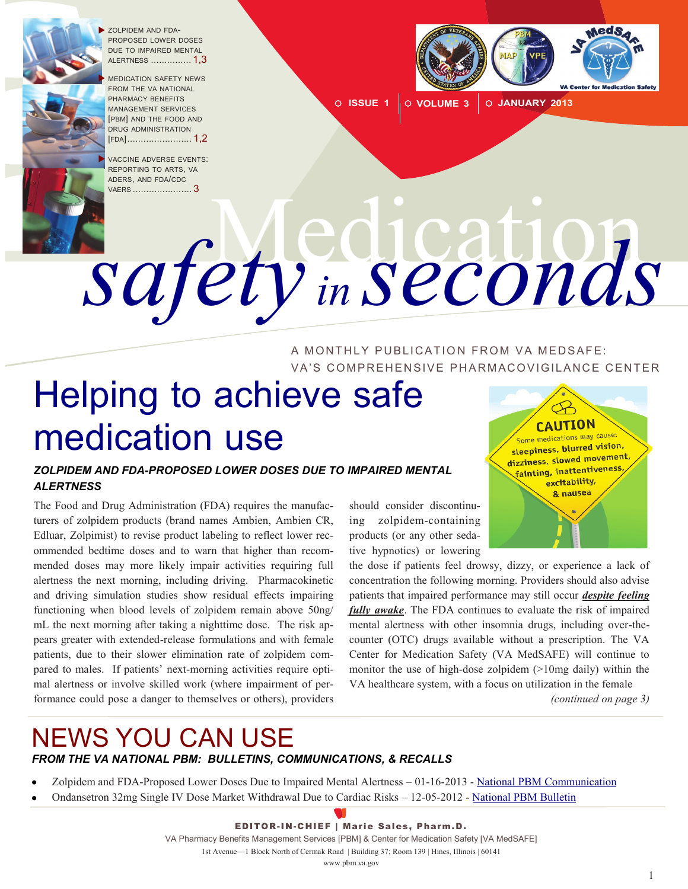

 ZOLPIDEM AND FDA-PROPOSED LOWER DOSES DUE TO IMPAIRED MENTAL ALERTNESS  $\,\ldots\ldots\ldots\ldots\,1.3$ 

 MEDICATION SAFETY NEWS FROM THE VA NATIONAL PHARMACY BENEFITS MANAGEMENT SERVICES [PBM] AND THE FOOD AND DRUG ADMINISTRATION [FDA[\] ........................](#page-1-0) 1,2

 VACCINE ADVERSE EVENTS: REPORTING TO ARTS, VA ADERS, AND FDA/CDC VAERS [......................](#page-2-0)........3



**ISSUE 1 VOLUME 3 JANUARY 2013**

# Medication *safety in seconds*

A MONTHLY PUBLICATION FROM VA MEDSAFE: VA'S COMPREHENSIVE PHARMACOVIGILANCE CENTER

## Helping to achieve safe medication use

#### *ZOLPIDEM AND FDA-PROPOSED LOWER DOSES DUE TO IMPAIRED MENTAL ALERTNESS*

The Food and Drug Administration (FDA) requires the manufacturers of zolpidem products (brand names Ambien, Ambien CR, Edluar, Zolpimist) to revise product labeling to reflect lower rec ommended bedtime doses and to warn that higher than recom mended doses may more likely impair activities requiring full alertness the next morning, including driving. Pharmacokinetic and driving simulation studies show residual effects impairing functioning when blood levels of zolpidem remain above 50ng/ mL the next morning after taking a nighttime dose. The risk appears greater with extended-release formulations and with female patients, due to their slower elimination rate of zolpidem com pared to males. If patients' next-morning activities require opti mal alertness or involve skilled work (where impairment of per formance could pose a danger to themselves or others), providers

should consider discontinu ing zolpidem-containing products (or any other seda tive hypnotics) or lowering

the dose if patients feel drowsy, dizzy, or experience a lack of concentration the following morning. Providers should also advise patients that impaired performance may still occur *despite feeling fully awake*. The FDA continues to evaluate the risk of impaired mental alertness with other insomnia drugs, including over-thecounter (OTC) drugs available without a prescription. The VA Center for Medication Safety (VA MedSAFE) will continue to monitor the use of high-dose zolpidem (>10mg daily) within the VA healthcare system, with a focus on utilization in the female

*(continued on page 3)* 

#### NEWS YOU CAN USE *FROM THE VA NATIONAL PBM: BULLETINS, COMMUNICATIONS, & RECALLS*

- Zolpidem and FDA-Proposed Lower Doses Due to Impaired Mental Alertness 01-16-2013 [National PBM Communication](http://www.pbm.va.gov/vamedsafe/nationalpbmcommunication/ZolpidemandProposedLowerDosesDuetoImpairedMentalAlertnessNATIO.pdf)
- Ondansetron 32mg Single IV Dose Market Withdrawal Due to Cardiac Risks 12-05-2012 [National PBM Bulletin](http://www.pbm.va.gov/vamedsafe/nationalpbmbulletin/Ondansetron32mgSingleIVDoseMarketWithdrawalDueToCardiacRisksN.pdf)

EDITOR-IN-CHIEF | Marie Sales, Pharm.D. VA Pharmacy Benefits Management Services [PBM] & Center for Medication Safety [VA MedSAFE] 1st Avenue—1 Block North of Cermak Road | Building 37; Room 139 | Hines, Illinois | 60141 [www.pbm.va.gov](http://www.pbm.va.gov) 



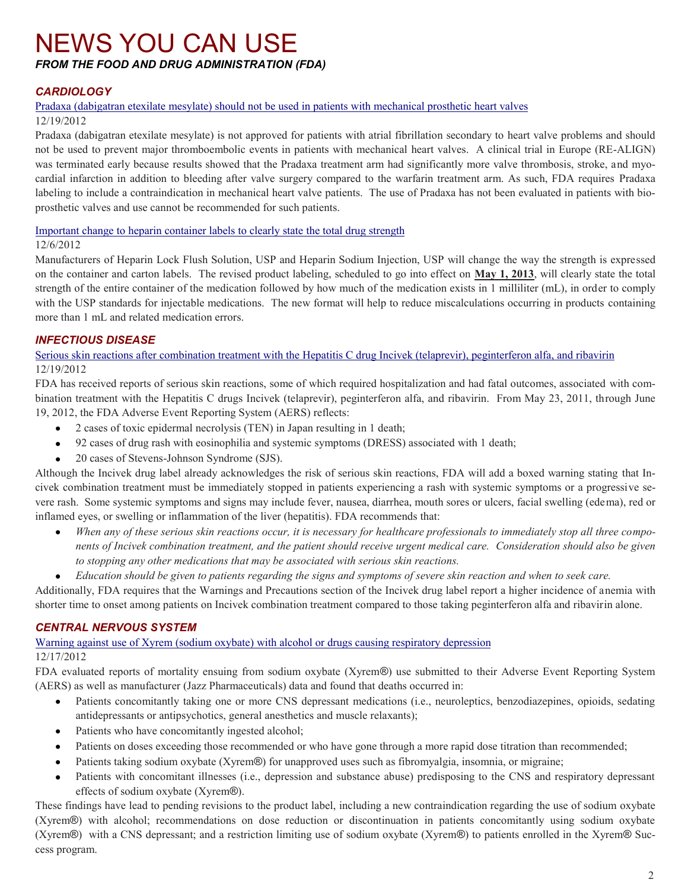#### <span id="page-1-0"></span>NEWS YOU CAN USE *FROM THE FOOD AND DRUG ADMINISTRATION (FDA)*

#### *CARDIOLOGY*

#### [Pradaxa \(dabigatran etexilate mesylate\) should not be used in patients with mechanical prosthetic heart valves](http://www.fda.gov/Drugs/DrugSafety/ucm332912.htm)

#### 12/19/2012

Pradaxa (dabigatran etexilate mesylate) is not approved for patients with atrial fibrillation secondary to heart valve problems and should not be used to prevent major thromboembolic events in patients with mechanical heart valves. A clinical trial in Europe (RE-ALIGN) was terminated early because results showed that the Pradaxa treatment arm had significantly more valve thrombosis, stroke, and myocardial infarction in addition to bleeding after valve surgery compared to the warfarin treatment arm. As such, FDA requires Pradaxa labeling to include a contraindication in mechanical heart valve patients. The use of Pradaxa has not been evaluated in patients with bioprosthetic valves and use cannot be recommended for such patients.

[Important change to heparin container labels to clearly state the total drug strength](http://www.fda.gov/Drugs/DrugSafety/ucm330695.htm)

#### 12/6/2012

Manufacturers of Heparin Lock Flush Solution, USP and Heparin Sodium Injection, USP will change the way the strength is expressed on the container and carton labels. The revised product labeling, scheduled to go into effect on **May 1, 2013**, will clearly state the total strength of the entire container of the medication followed by how much of the medication exists in 1 milliliter (mL), in order to comply with the USP standards for injectable medications. The new format will help to reduce miscalculations occurring in products containing more than 1 mL and related medication errors.

#### *INFECTIOUS DISEASE*

[Serious skin reactions after combination treatment with the Hepatitis C drug Incivek \(telaprevir\), peginterferon alfa, and ribavirin](http://www.fda.gov/Drugs/DrugSafety/ucm332731.htm) 12/19/2012

FDA has received reports of serious skin reactions, some of which required hospitalization and had fatal outcomes, associated with com bination treatment with the Hepatitis C drugs Incivek (telaprevir), peginterferon alfa, and ribavirin. From May 23, 2011, through June 19, 2012, the FDA Adverse Event Reporting System (AERS) reflects:

- 2 cases of toxic epidermal necrolysis (TEN) in Japan resulting in 1 death;
- 92 cases of drug rash with eosinophilia and systemic symptoms (DRESS) associated with 1 death;
- $\bullet$ 20 cases of Stevens-Johnson Syndrome (SJS).

Although the Incivek drug label already acknowledges the risk of serious skin reactions, FDA will add a boxed warning stating that In civek combination treatment must be immediately stopped in patients experiencing a rash with systemic symptoms or a progressive se vere rash. Some systemic symptoms and signs may include fever, nausea, diarrhea, mouth sores or ulcers, facial swelling (edema), red or inflamed eyes, or swelling or inflammation of the liver (hepatitis). FDA recommends that:

*When any of these serious skin reactions occur, it is necessary for healthcare professionals to immediately stop all three compo nents of Incivek combination treatment, and the patient should receive urgent medical care. Consideration should also be given to stopping any other medications that may be associated with serious skin reactions.* 

*Education should be given to patients regarding the signs and symptoms of severe skin reaction and when to seek care.* 

Additionally, FDA requires that the Warnings and Precautions section of the Incivek drug label report a higher incidence of anemia with shorter time to onset among patients on Incivek combination treatment compared to those taking peginterferon alfa and ribavirin alone.

#### *CENTRAL NERVOUS SYSTEM*

[Warning against use of Xyrem \(sodium oxybate\) with alcohol or drugs causing respiratory depression](http://www.fda.gov/Drugs/DrugSafety/ucm332029.htm) 12/17/2012

FDA evaluated reports of mortality ensuing from sodium oxybate (Xyrem®) use submitted to their Adverse Event Reporting System (AERS) as well as manufacturer (Jazz Pharmaceuticals) data and found that deaths occurred in:

- Patients concomitantly taking one or more CNS depressant medications (i.e., neuroleptics, benzodiazepines, opioids, sedating  $\bullet$ antidepressants or antipsychotics, general anesthetics and muscle relaxants);
- Patients who have concomitantly ingested alcohol;  $\bullet$
- Patients on doses exceeding those recommended or who have gone through a more rapid dose titration than recommended;
- Patients taking sodium oxybate (Xyrem®) for unapproved uses such as fibromyalgia, insomnia, or migraine;
- Patients with concomitant illnesses (i.e., depression and substance abuse) predisposing to the CNS and respiratory depressant  $\bullet$ effects of sodium oxybate (Xyrem®).

These findings have lead to pending revisions to the product label, including a new contraindication regarding the use of sodium oxybate (Xyrem®) with alcohol; recommendations on dose reduction or discontinuation in patients concomitantly using sodium oxybate (Xyrem®) with a CNS depressant; and a restriction limiting use of sodium oxybate (Xyrem®) to patients enrolled in the Xyrem® Suc cess program.